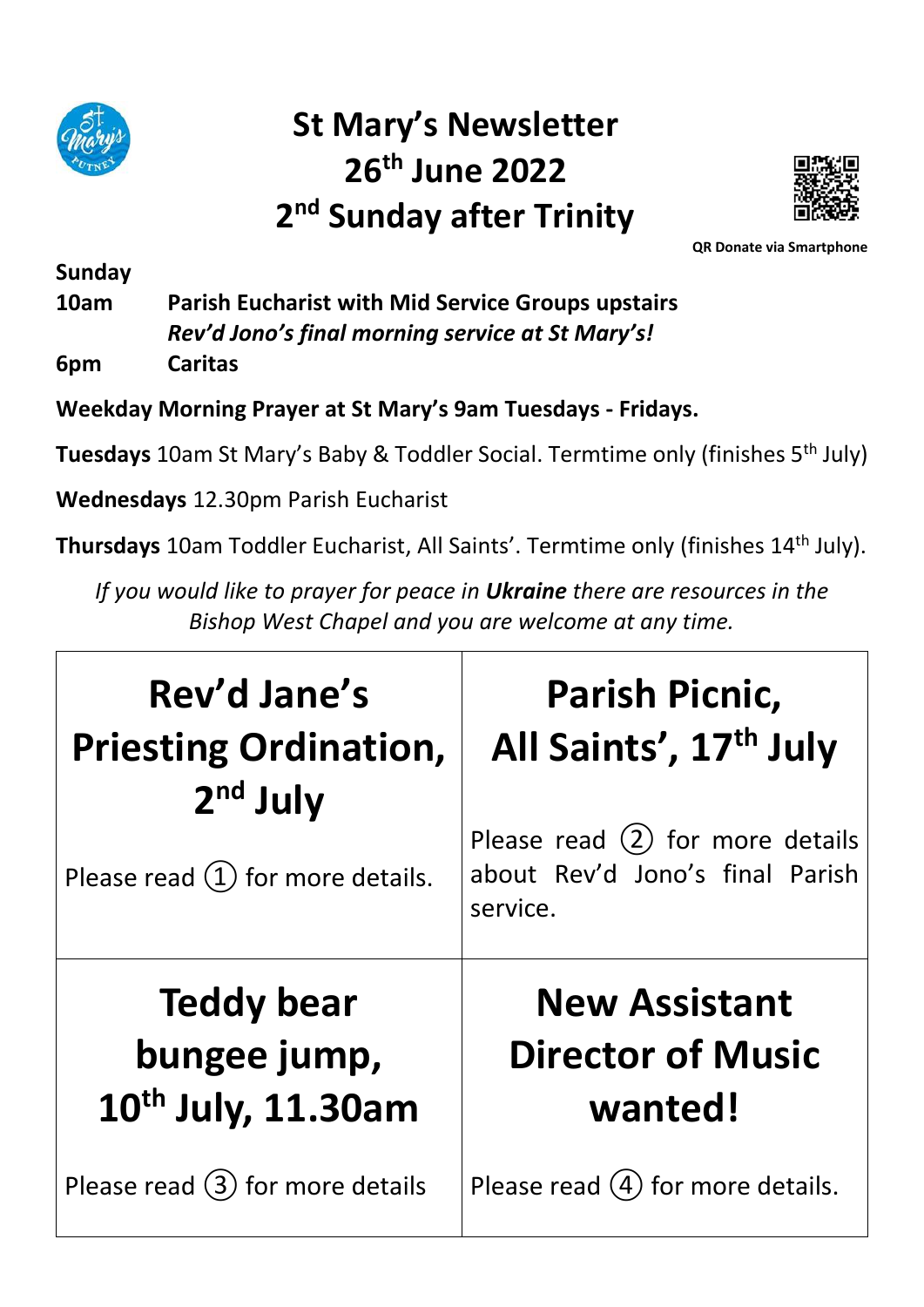

# **St Mary's Newsletter 26th June 2022 2 nd Sunday after Trinity**



 **QR Donate via Smartphone**

**Sunday**

**10am Parish Eucharist with Mid Service Groups upstairs** *Rev'd Jono's final morning service at St Mary's!*

**6pm Caritas**

**Weekday Morning Prayer at St Mary's 9am Tuesdays - Fridays.** 

**Tuesdays** 10am St Mary's Baby & Toddler Social. Termtime only (finishes 5th July)

**Wednesdays** 12.30pm Parish Eucharist

**Thursdays** 10am Toddler Eucharist, All Saints'. Termtime only (finishes 14th July).

*If you would like to prayer for peace in Ukraine there are resources in the Bishop West Chapel and you are welcome at any time.*

| Rev'd Jane's                                      | <b>Parish Picnic,</b>                                                             |
|---------------------------------------------------|-----------------------------------------------------------------------------------|
| <b>Priesting Ordination,</b>                      | All Saints', 17th July                                                            |
| $2nd$ July<br>Please read $(1)$ for more details. | Please read $(2)$ for more details<br>about Rev'd Jono's final Parish<br>service. |
| <b>Teddy bear</b>                                 | <b>New Assistant</b>                                                              |
| bungee jump,                                      | <b>Director of Music</b>                                                          |
| 10 <sup>th</sup> July, 11.30am                    | wanted!                                                                           |
| Please read $(3)$ for more details                | Please read $(4)$ for more details.                                               |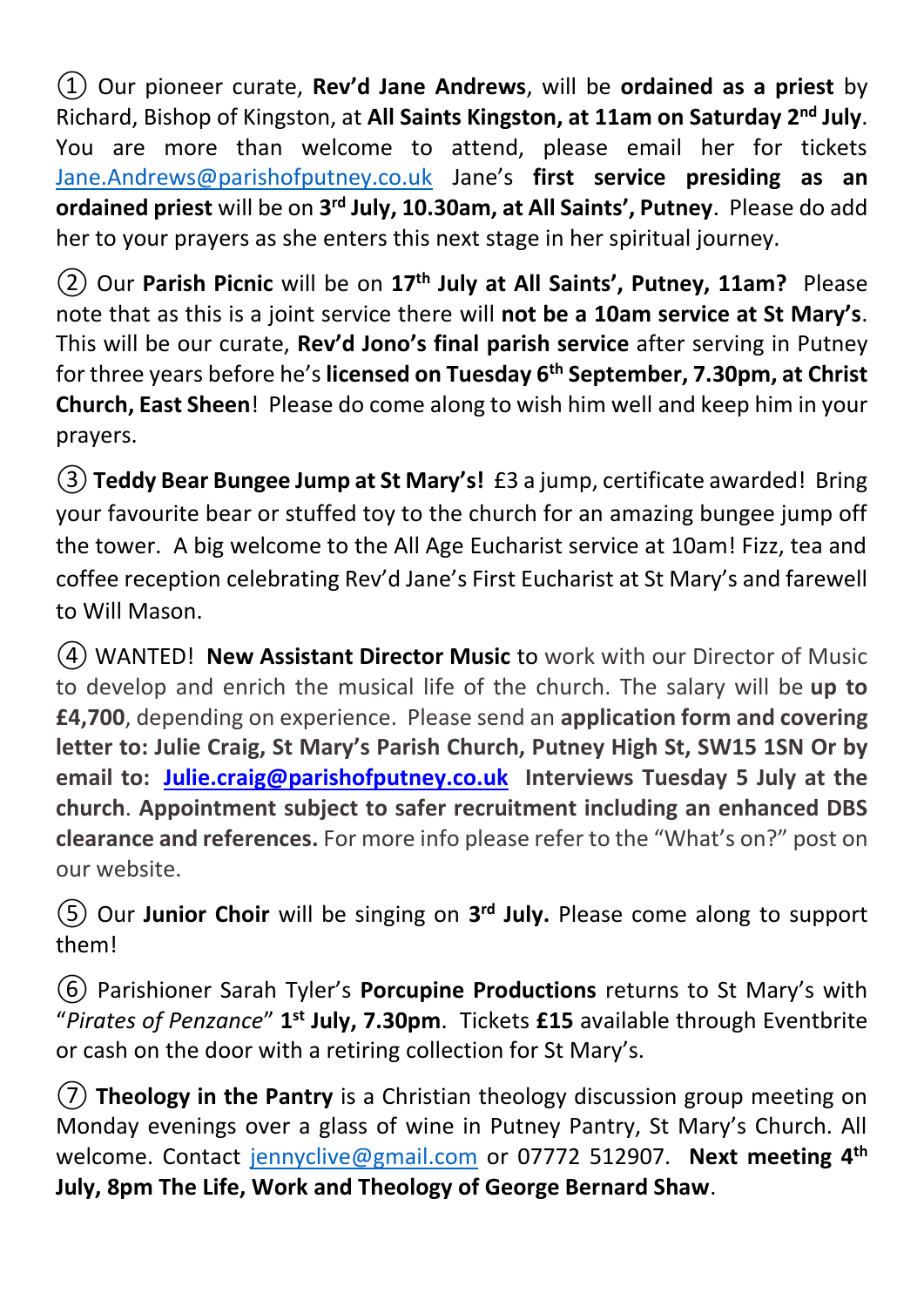① Our pioneer curate, **Rev'd Jane Andrews**, will be **ordained as a priest** by Richard, Bishop of Kingston, at **All Saints Kingston, at 11am on Saturday 2nd July**. You are more than welcome to attend, please email her for tickets [Jane.Andrews@parishofputney.co.uk](mailto:Jane.Andrews@parishofputney.co.uk) Jane's **first service presiding as an ordained priest** will be on **3 rd July, 10.30am, at All Saints', Putney**. Please do add her to your prayers as she enters this next stage in her spiritual journey.

② Our **Parish Picnic** will be on **17th July at All Saints', Putney, 11am?** Please note that as this is a joint service there will **not be a 10am service at St Mary's**. This will be our curate, **Rev'd Jono's final parish service** after serving in Putney for three years before he's **licensed on Tuesday 6th September, 7.30pm, at Christ Church, East Sheen**! Please do come along to wish him well and keep him in your prayers.

③**Teddy Bear Bungee Jump at St Mary's!** £3 a jump, certificate awarded! Bring your favourite bear or stuffed toy to the church for an amazing bungee jump off the tower. A big welcome to the All Age Eucharist service at 10am! Fizz, tea and coffee reception celebrating Rev'd Jane's First Eucharist at St Mary's and farewell to Will Mason.

④ WANTED! **New Assistant Director Music** to work with our Director of Music to develop and enrich the musical life of the church. The salary will be **up to £4,700**, depending on experience. Please send an **application form and covering letter to: Julie Craig, St Mary's Parish Church, Putney High St, SW15 1SN Or by email to: [Julie.craig@parishofputney.co.uk](mailto:Julie.craig@parishofputney.co.uk) Interviews Tuesday 5 July at the church**. **Appointment subject to safer recruitment including an enhanced DBS clearance and references.** For more info please refer to the "What's on?" post on our website.

⑤ Our **Junior Choir** will be singing on **3 rd July.** Please come along to support them!

⑥ Parishioner Sarah Tyler's **Porcupine Productions** returns to St Mary's with "Pirates of Penzance" 1<sup>st</sup> July, 7.30pm. Tickets £15 available through Eventbrite or cash on the door with a retiring collection for St Mary's.

⑦ **Theology in the Pantry** is a Christian theology discussion group meeting on Monday evenings over a glass of wine in Putney Pantry, St Mary's Church. All welcome. Contact [jennyclive@gmail.com](mailto:jennyclive@gmail.com) or 07772 512907. **Next meeting 4th July, 8pm The Life, Work and Theology of George Bernard Shaw**.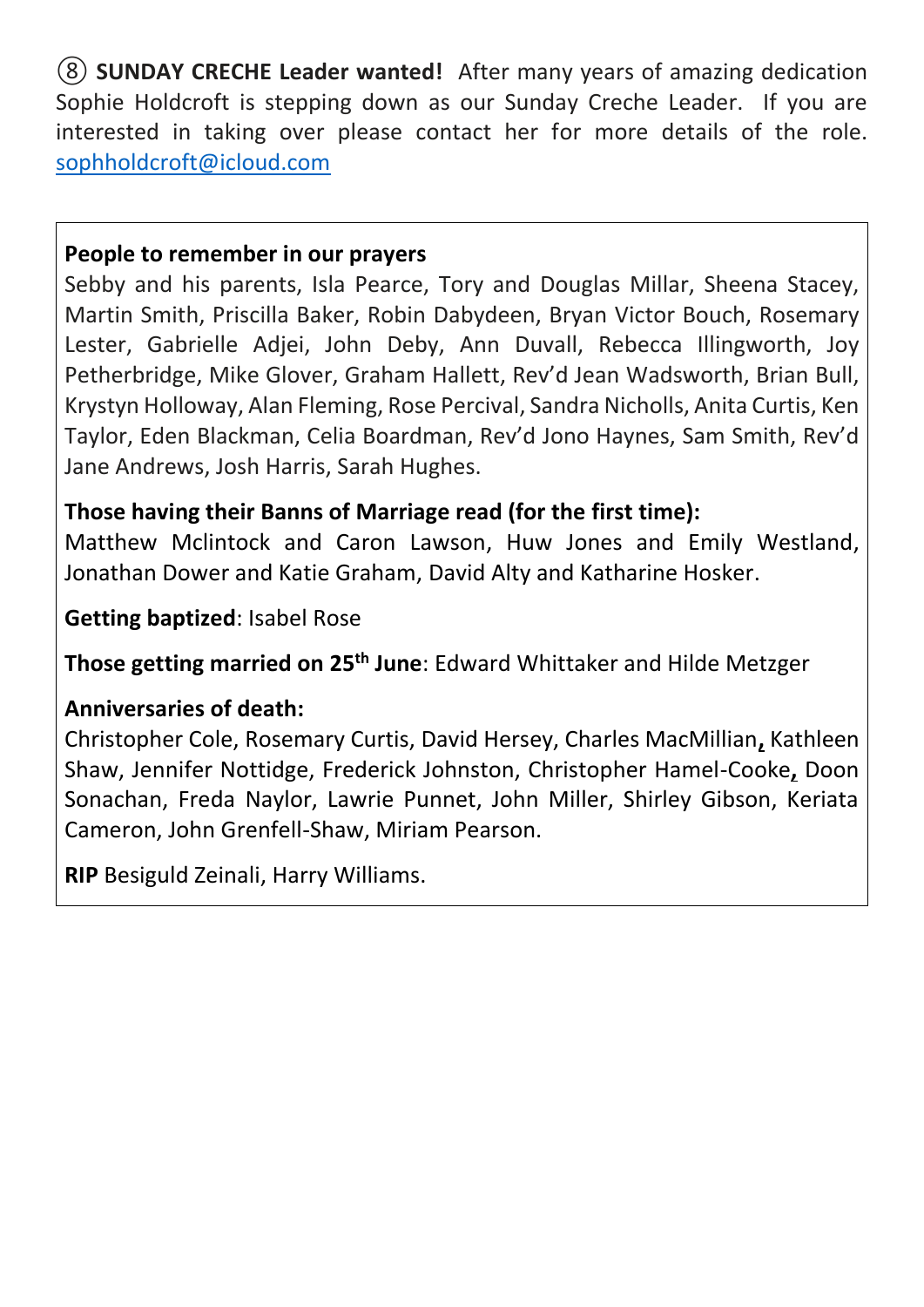⑧ **SUNDAY CRECHE Leader wanted!** After many years of amazing dedication Sophie Holdcroft is stepping down as our Sunday Creche Leader. If you are interested in taking over please contact her for more details of the role. [sophholdcroft@icloud.com](mailto:sophholdcroft@icloud.com)

#### **People to remember in our prayers**

Sebby and his parents, Isla Pearce, Tory and Douglas Millar, Sheena Stacey, Martin Smith, Priscilla Baker, Robin Dabydeen, Bryan Victor Bouch, Rosemary Lester, Gabrielle Adjei, John Deby, Ann Duvall, Rebecca Illingworth, Joy Petherbridge, Mike Glover, Graham Hallett, Rev'd Jean Wadsworth, Brian Bull, Krystyn Holloway, Alan Fleming, Rose Percival, Sandra Nicholls, Anita Curtis, Ken Taylor, Eden Blackman, Celia Boardman, Rev'd Jono Haynes, Sam Smith, Rev'd Jane Andrews, Josh Harris, Sarah Hughes.

### **Those having their Banns of Marriage read (for the first time):**

Matthew Mclintock and Caron Lawson, Huw Jones and Emily Westland, Jonathan Dower and Katie Graham, David Alty and Katharine Hosker.

**Getting baptized**: Isabel Rose

**Those getting married on 25th June**: Edward Whittaker and Hilde Metzger

### **Anniversaries of death:**

Christopher Cole, Rosemary Curtis, David Hersey, Charles MacMillian**,** Kathleen Shaw, Jennifer Nottidge, Frederick Johnston, Christopher Hamel-Cooke**,** Doon Sonachan, Freda Naylor, Lawrie Punnet, John Miller, Shirley Gibson, Keriata Cameron, John Grenfell-Shaw, Miriam Pearson.

**RIP** Besiguld Zeinali, Harry Williams.